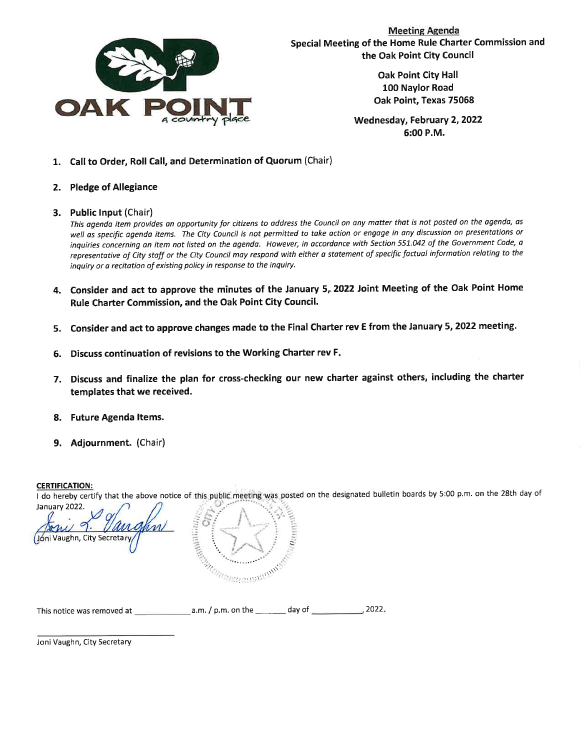

**Meeting Agenda** Special Meeting of the Home Rule Charter Commission and the Oak Point City Council

> **Oak Point City Hall** 100 Naylor Road Oak Point, Texas 75068

Wednesday, February 2, 2022 6:00 P.M.

- 1. Call to Order, Roll Call, and Determination of Quorum (Chair)
- 2. Pledge of Allegiance
- 3. Public Input (Chair)

This agenda item provides an opportunity for citizens to address the Council on any matter that is not posted on the agenda, as well as specific agenda items. The City Council is not permitted to take action or engage in any discussion on presentations or inquiries concerning an item not listed on the agenda. However, in accordance with Section 551.042 of the Government Code, a representative of City staff or the City Council may respond with either a statement of specific factual information relating to the inquiry or a recitation of existing policy in response to the inquiry.

- 4. Consider and act to approve the minutes of the January 5, 2022 Joint Meeting of the Oak Point Home Rule Charter Commission, and the Oak Point City Council.
- 5. Consider and act to approve changes made to the Final Charter rev E from the January 5, 2022 meeting.
- 6. Discuss continuation of revisions to the Working Charter rev F.
- 7. Discuss and finalize the plan for cross-checking our new charter against others, including the charter templates that we received.
- 8. Future Agenda Items.
- 9. Adjournment. (Chair)

#### **CERTIFICATION:**

I do hereby certify that the above notice of this public meeting was posted on the designated bulletin boards by 5:00 p.m. on the 28th day of January 2022.

Jóni Vaughn, City Secretary

| This notice was removed at | $a.m.$ / $p.m.$ on the | dav of | 2022. |
|----------------------------|------------------------|--------|-------|
|----------------------------|------------------------|--------|-------|

Manuscriptus and dans

Joni Vaughn, City Secretary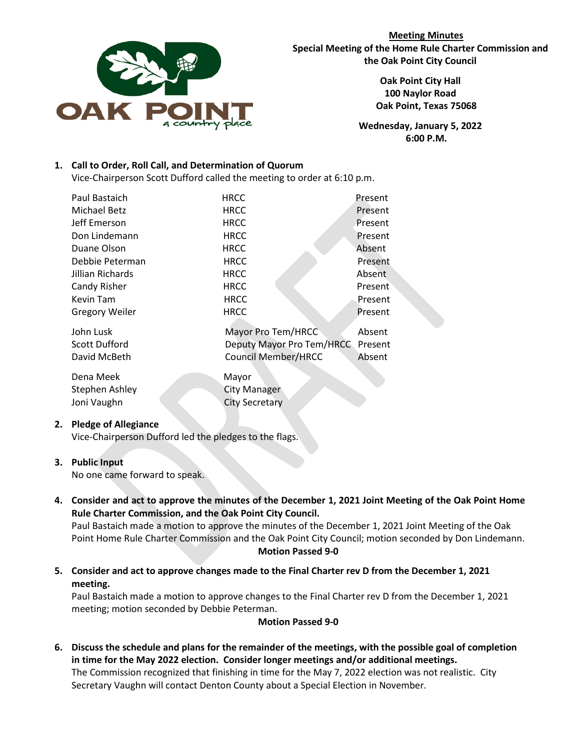

**Meeting Minutes Special Meeting of the Home Rule Charter Commission and the Oak Point City Council**

> **Oak Point City Hall 100 Naylor Road Oak Point, Texas 75068**

**Wednesday, January 5, 2022 6:00 P.M.**

## **1. Call to Order, Roll Call, and Determination of Quorum**

Vice-Chairperson Scott Dufford called the meeting to order at 6:10 p.m.

| Paul Bastaich                                     | <b>HRCC</b>                                                                   | Present                     |
|---------------------------------------------------|-------------------------------------------------------------------------------|-----------------------------|
| <b>Michael Betz</b>                               | <b>HRCC</b>                                                                   | Present                     |
| Jeff Emerson                                      | <b>HRCC</b>                                                                   | Present                     |
| Don Lindemann                                     | <b>HRCC</b>                                                                   | Present                     |
| Duane Olson                                       | <b>HRCC</b>                                                                   | Absent                      |
| Debbie Peterman                                   | <b>HRCC</b>                                                                   | Present                     |
| Jillian Richards                                  | <b>HRCC</b>                                                                   | Absent                      |
| Candy Risher                                      | <b>HRCC</b>                                                                   | Present                     |
| Kevin Tam                                         | <b>HRCC</b>                                                                   | Present                     |
| <b>Gregory Weiler</b>                             | HRCC                                                                          | Present                     |
| John Lusk<br><b>Scott Dufford</b><br>David McBeth | Mayor Pro Tem/HRCC<br>Deputy Mayor Pro Tem/HRCC<br><b>Council Member/HRCC</b> | Absent<br>Present<br>Absent |
| Dena Meek<br><b>Stephen Ashley</b><br>Joni Vaughn | Mayor<br><b>City Manager</b><br><b>City Secretary</b>                         |                             |

## **2. Pledge of Allegiance**

Vice-Chairperson Dufford led the pledges to the flags.

## **3. Public Input**

No one came forward to speak.

**4. Consider and act to approve the minutes of the December 1, 2021 Joint Meeting of the Oak Point Home Rule Charter Commission, and the Oak Point City Council.**

Paul Bastaich made a motion to approve the minutes of the December 1, 2021 Joint Meeting of the Oak Point Home Rule Charter Commission and the Oak Point City Council; motion seconded by Don Lindemann. **Motion Passed 9-0**

**5. Consider and act to approve changes made to the Final Charter rev D from the December 1, 2021 meeting.** 

Paul Bastaich made a motion to approve changes to the Final Charter rev D from the December 1, 2021 meeting; motion seconded by Debbie Peterman.

## **Motion Passed 9-0**

**6. Discuss the schedule and plans for the remainder of the meetings, with the possible goal of completion in time for the May 2022 election. Consider longer meetings and/or additional meetings.** The Commission recognized that finishing in time for the May 7, 2022 election was not realistic. City

Secretary Vaughn will contact Denton County about a Special Election in November.